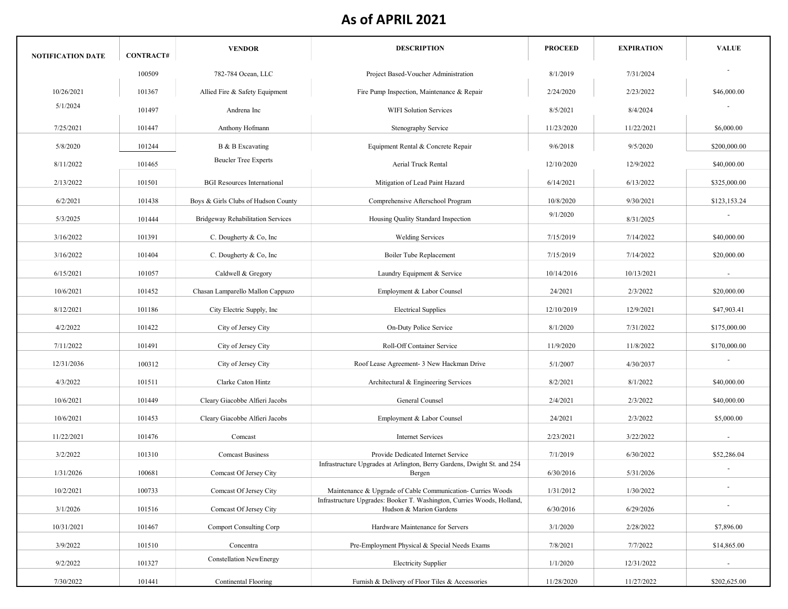| NOTIFICATION DATE | <b>CONTRACT#</b> | <b>VENDOR</b>                            | <b>DESCRIPTION</b>                                                                                | <b>PROCEED</b> | <b>EXPIRATION</b> | <b>VALUE</b>             |
|-------------------|------------------|------------------------------------------|---------------------------------------------------------------------------------------------------|----------------|-------------------|--------------------------|
|                   | 100509           | 782-784 Ocean, LLC                       | Project Based-Voucher Administration                                                              | 8/1/2019       | 7/31/2024         |                          |
| 10/26/2021        | 101367           | Allied Fire & Safety Equipment           | Fire Pump Inspection, Maintenance & Repair                                                        | 2/24/2020      | 2/23/2022         | \$46,000.00              |
| 5/1/2024          | 101497           | Andrena Inc                              | <b>WIFI Solution Services</b>                                                                     | 8/5/2021       | 8/4/2024          |                          |
| 7/25/2021         | 101447           | Anthony Hofmann                          | Stenography Service                                                                               | 11/23/2020     | 11/22/2021        | \$6,000.00               |
| 5/8/2020          | 101244           | B & B Excavating                         | Equipment Rental & Concrete Repair                                                                | 9/6/2018       | 9/5/2020          | \$200,000.00             |
| 8/11/2022         | 101465           | <b>Beucler Tree Experts</b>              | <b>Aerial Truck Rental</b>                                                                        | 12/10/2020     | 12/9/2022         | \$40,000.00              |
| 2/13/2022         | 101501           | <b>BGI</b> Resources International       | Mitigation of Lead Paint Hazard                                                                   | 6/14/2021      | 6/13/2022         | \$325,000.00             |
| 6/2/2021          | 101438           | Boys & Girls Clubs of Hudson County      | Comprehensive Afterschool Program                                                                 | 10/8/2020      | 9/30/2021         | \$123,153.24             |
| 5/3/2025          | 101444           | <b>Bridgeway Rehabilitation Services</b> | Housing Quality Standard Inspection                                                               | 9/1/2020       | 8/31/2025         |                          |
| 3/16/2022         | 101391           | C. Dougherty & Co, Inc.                  | <b>Welding Services</b>                                                                           | 7/15/2019      | 7/14/2022         | \$40,000.00              |
| 3/16/2022         | 101404           | C. Dougherty & Co, Inc.                  | <b>Boiler Tube Replacement</b>                                                                    | 7/15/2019      | 7/14/2022         | \$20,000.00              |
| 6/15/2021         | 101057           | Caldwell & Gregory                       | Laundry Equipment & Service                                                                       | 10/14/2016     | 10/13/2021        |                          |
| 10/6/2021         | 101452           | Chasan Lamparello Mallon Cappuzo         | Employment & Labor Counsel                                                                        | 24/2021        | 2/3/2022          | \$20,000.00              |
| 8/12/2021         | 101186           | City Electric Supply, Inc                | <b>Electrical Supplies</b>                                                                        | 12/10/2019     | 12/9/2021         | \$47,903.41              |
| 4/2/2022          | 101422           | City of Jersey City                      | On-Duty Police Service                                                                            | 8/1/2020       | 7/31/2022         | \$175,000.00             |
| 7/11/2022         | 101491           | City of Jersey City                      | Roll-Off Container Service                                                                        | 11/9/2020      | 11/8/2022         | \$170,000.00             |
| 12/31/2036        | 100312           | City of Jersey City                      | Roof Lease Agreement- 3 New Hackman Drive                                                         | 5/1/2007       | 4/30/2037         |                          |
| 4/3/2022          | 101511           | Clarke Caton Hintz                       | Architectural & Engineering Services                                                              | 8/2/2021       | 8/1/2022          | \$40,000.00              |
| 10/6/2021         | 101449           | Cleary Giacobbe Alfieri Jacobs           | General Counsel                                                                                   | 2/4/2021       | 2/3/2022          | \$40,000.00              |
| 10/6/2021         | 101453           | Cleary Giacobbe Alfieri Jacobs           | Employment & Labor Counsel                                                                        | 24/2021        | 2/3/2022          | \$5,000.00               |
| 11/22/2021        | 101476           | Comcast                                  | <b>Internet Services</b>                                                                          | 2/23/2021      | 3/22/2022         | $\sim$                   |
| 3/2/2022          | 101310           | <b>Comcast Business</b>                  | Provide Dedicated Internet Service                                                                | 7/1/2019       | 6/30/2022         | \$52,286.04              |
| 1/31/2026         | 100681           | Comcast Of Jersey City                   | Infrastructure Upgrades at Arlington, Berry Gardens, Dwight St. and 254<br>Bergen                 | 6/30/2016      | 5/31/2026         |                          |
| 10/2/2021         | 100733           | Comcast Of Jersey City                   | Maintenance & Upgrade of Cable Communication- Curries Woods                                       | 1/31/2012      | 1/30/2022         | $\overline{\phantom{a}}$ |
| 3/1/2026          | 101516           | Comcast Of Jersey City                   | Infrastructure Upgrades: Booker T. Washington, Curries Woods, Holland,<br>Hudson & Marion Gardens | 6/30/2016      | 6/29/2026         |                          |
| 10/31/2021        | 101467           | <b>Comport Consulting Corp</b>           | Hardware Maintenance for Servers                                                                  | 3/1/2020       | 2/28/2022         | \$7,896.00               |
| 3/9/2022          | 101510           | Concentra                                | Pre-Employment Physical & Special Needs Exams                                                     | 7/8/2021       | 7/7/2022          | \$14,865.00              |
| 9/2/2022          | 101327           | <b>Constellation NewEnergy</b>           | <b>Electricity Supplier</b>                                                                       | 1/1/2020       | 12/31/2022        | $\overline{\phantom{a}}$ |
| 7/30/2022         | 101441           | Continental Flooring                     | Furnish & Delivery of Floor Tiles & Accessories                                                   | 11/28/2020     | 11/27/2022        | \$202,625.00             |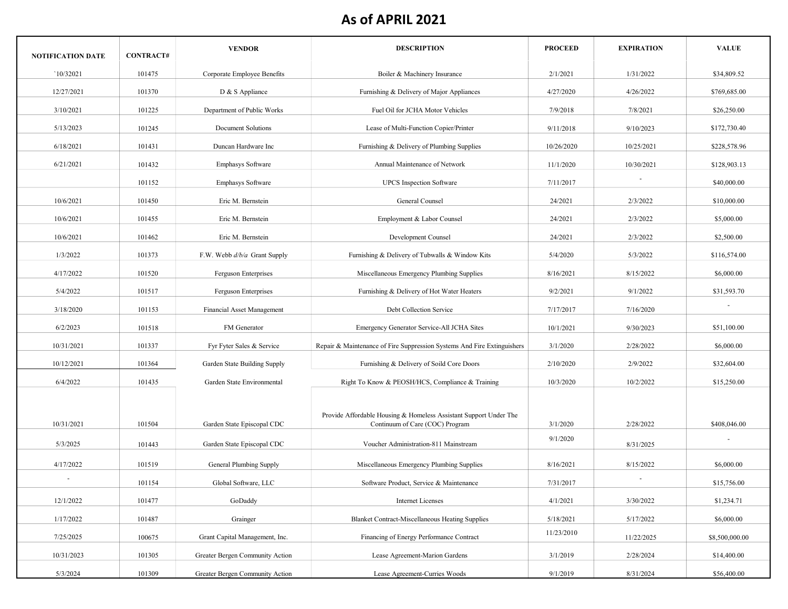| <b>NOTIFICATION DATE</b> | <b>CONTRACT#</b> | <b>VENDOR</b>                     | <b>DESCRIPTION</b>                                                      | <b>PROCEED</b> | <b>EXPIRATION</b> | <b>VALUE</b>   |
|--------------------------|------------------|-----------------------------------|-------------------------------------------------------------------------|----------------|-------------------|----------------|
| `10/32021                | 101475           | Corporate Employee Benefits       | Boiler & Machinery Insurance                                            | 2/1/2021       | 1/31/2022         | \$34,809.52    |
| 12/27/2021               | 101370           | D & S Appliance                   | Furnishing & Delivery of Major Appliances                               | 4/27/2020      | 4/26/2022         | \$769,685.00   |
| 3/10/2021                | 101225           | Department of Public Works        | Fuel Oil for JCHA Motor Vehicles                                        | 7/9/2018       | 7/8/2021          | \$26,250.00    |
| 5/13/2023                | 101245           | Document Solutions                | Lease of Multi-Function Copier/Printer                                  | 9/11/2018      | 9/10/2023         | \$172,730.40   |
| 6/18/2021                | 101431           | Duncan Hardware Inc               | Furnishing & Delivery of Plumbing Supplies                              | 10/26/2020     | 10/25/2021        | \$228,578.96   |
| 6/21/2021                | 101432           | Emphasys Software                 | Annual Maintenance of Network                                           | 11/1/2020      | 10/30/2021        | \$128,903.13   |
|                          | 101152           | <b>Emphasys Software</b>          | <b>UPCS</b> Inspection Software                                         | 7/11/2017      |                   | \$40,000.00    |
| 10/6/2021                | 101450           | Eric M. Bernstein                 | General Counsel                                                         | 24/2021        | 2/3/2022          | \$10,000.00    |
| 10/6/2021                | 101455           | Eric M. Bernstein                 | Employment & Labor Counsel                                              | 24/2021        | 2/3/2022          | \$5,000.00     |
| 10/6/2021                | 101462           | Eric M. Bernstein                 | Development Counsel                                                     | 24/2021        | 2/3/2022          | \$2,500.00     |
| 1/3/2022                 | 101373           | F.W. Webb $d/b/a$ Grant Supply    | Furnishing & Delivery of Tubwalls & Window Kits                         | 5/4/2020       | 5/3/2022          | \$116,574.00   |
| 4/17/2022                | 101520           | Ferguson Enterprises              | Miscellaneous Emergency Plumbing Supplies                               | 8/16/2021      | 8/15/2022         | \$6,000.00     |
| 5/4/2022                 | 101517           | Ferguson Enterprises              | Furnishing & Delivery of Hot Water Heaters                              | 9/2/2021       | 9/1/2022          | \$31,593.70    |
| 3/18/2020                | 101153           | <b>Financial Asset Management</b> | Debt Collection Service                                                 | 7/17/2017      | 7/16/2020         |                |
| 6/2/2023                 | 101518           | FM Generator                      | Emergency Generator Service-All JCHA Sites                              | 10/1/2021      | 9/30/2023         | \$51,100.00    |
| 10/31/2021               | 101337           |                                   |                                                                         | 3/1/2020       | 2/28/2022         | \$6,000.00     |
|                          |                  | Fyr Fyter Sales & Service         | Repair & Maintenance of Fire Suppression Systems And Fire Extinguishers |                |                   |                |
| 10/12/2021               | 101364           | Garden State Building Supply      | Furnishing & Delivery of Soild Core Doors                               | 2/10/2020      | 2/9/2022          | \$32,604.00    |
| 6/4/2022                 | 101435           | Garden State Environmental        | Right To Know & PEOSH/HCS, Compliance & Training                        | 10/3/2020      | 10/2/2022         | \$15,250.00    |
|                          |                  |                                   | Provide Affordable Housing & Homeless Assistant Support Under The       |                |                   |                |
| 10/31/2021               | 101504           | Garden State Episcopal CDC        | Continuum of Care (COC) Program                                         | 3/1/2020       | 2/28/2022         | \$408,046.00   |
| 5/3/2025                 | 101443           | Garden State Episcopal CDC        | Voucher Administration-811 Mainstream                                   | 9/1/2020       | 8/31/2025         |                |
| 4/17/2022                | 101519           | General Plumbing Supply           | Miscellaneous Emergency Plumbing Supplies                               | 8/16/2021      | 8/15/2022         | \$6,000.00     |
|                          | 101154           | Global Software, LLC              | Software Product, Service & Maintenance                                 | 7/31/2017      |                   | \$15,756.00    |
| 12/1/2022                | 101477           | GoDaddy                           | <b>Internet Licenses</b>                                                | 4/1/2021       | 3/30/2022         | \$1,234.71     |
| 1/17/2022                | 101487           | Grainger                          | <b>Blanket Contract-Miscellaneous Heating Supplies</b>                  | 5/18/2021      | 5/17/2022         | \$6,000.00     |
| 7/25/2025                | 100675           | Grant Capital Management, Inc.    | Financing of Energy Performance Contract                                | 11/23/2010     | 11/22/2025        | \$8,500,000.00 |
| 10/31/2023               | 101305           | Greater Bergen Community Action   | Lease Agreement-Marion Gardens                                          | 3/1/2019       | 2/28/2024         | \$14,400.00    |
| 5/3/2024                 | 101309           | Greater Bergen Community Action   | Lease Agreement-Curries Woods                                           | 9/1/2019       | 8/31/2024         | \$56,400.00    |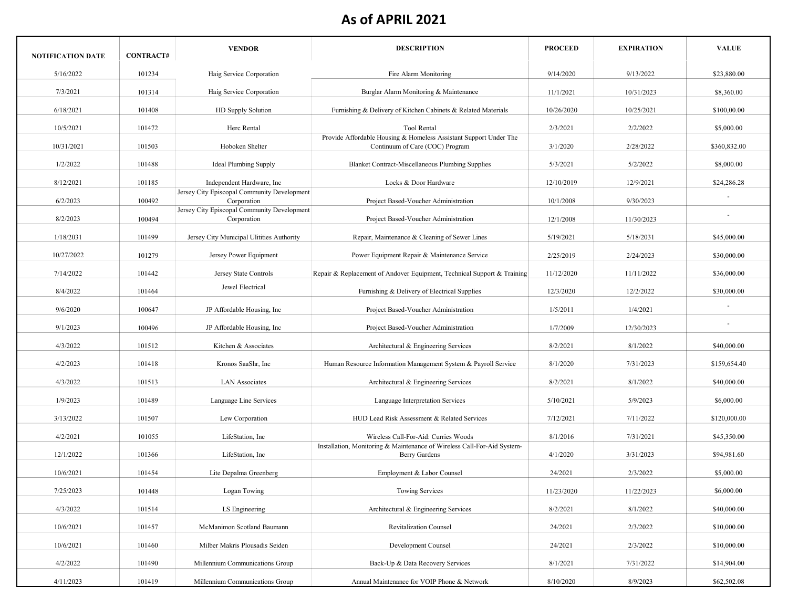| <b>NOTIFICATION DATE</b> | <b>CONTRACT#</b> | <b>VENDOR</b>                                              | <b>DESCRIPTION</b>                                                                                              | <b>PROCEED</b> | <b>EXPIRATION</b> | <b>VALUE</b> |
|--------------------------|------------------|------------------------------------------------------------|-----------------------------------------------------------------------------------------------------------------|----------------|-------------------|--------------|
| 5/16/2022                | 101234           | Haig Service Corporation                                   | Fire Alarm Monitoring                                                                                           | 9/14/2020      | 9/13/2022         | \$23,880.00  |
| 7/3/2021                 | 101314           | Haig Service Corporation                                   | Burglar Alarm Monitoring & Maintenance                                                                          | 11/1/2021      | 10/31/2023        | \$8,360.00   |
| 6/18/2021                | 101408           | HD Supply Solution                                         | Furnishing & Delivery of Kitchen Cabinets & Related Materials                                                   | 10/26/2020     | 10/25/2021        | \$100,00.00  |
| 10/5/2021                | 101472           | Herc Rental                                                | Tool Rental                                                                                                     | 2/3/2021       | 2/2/2022          | \$5,000.00   |
| 10/31/2021               | 101503           | Hoboken Shelter                                            | Provide Affordable Housing & Homeless Assistant Support Under The<br>Continuum of Care (COC) Program            | 3/1/2020       | 2/28/2022         | \$360,832.00 |
| 1/2/2022                 | 101488           | <b>Ideal Plumbing Supply</b>                               | Blanket Contract-Miscellaneous Plumbing Supplies                                                                | 5/3/2021       | 5/2/2022          | \$8,000.00   |
| 8/12/2021                | 101185           | Independent Hardware, Inc.                                 | Locks & Door Hardware                                                                                           | 12/10/2019     | 12/9/2021         | \$24,286.28  |
| 6/2/2023                 | 100492           | Jersey City Episcopal Community Development<br>Corporation | Project Based-Voucher Administration                                                                            | 10/1/2008      | 9/30/2023         |              |
| 8/2/2023                 | 100494           | Jersey City Episcopal Community Development<br>Corporation | Project Based-Voucher Administration                                                                            | 12/1/2008      | 11/30/2023        |              |
| 1/18/2031                | 101499           | Jersey City Municipal Ulitities Authority                  | Repair, Maintenance & Cleaning of Sewer Lines                                                                   | 5/19/2021      | 5/18/2031         | \$45,000.00  |
| 10/27/2022               | 101279           | Jersey Power Equipment                                     | Power Equipment Repair & Maintenance Service                                                                    | 2/25/2019      | 2/24/2023         | \$30,000.00  |
| 7/14/2022                | 101442           | Jersey State Controls                                      | Repair & Replacement of Andover Equipment, Technical Support & Training                                         | 11/12/2020     | 11/11/2022        | \$36,000.00  |
| 8/4/2022                 | 101464           | Jewel Electrical                                           | Furnishing & Delivery of Electrical Supplies                                                                    | 12/3/2020      | 12/2/2022         | \$30,000.00  |
| 9/6/2020                 | 100647           | JP Affordable Housing, Inc.                                | Project Based-Voucher Administration                                                                            | 1/5/2011       | 1/4/2021          |              |
| 9/1/2023                 | 100496           | JP Affordable Housing, Inc.                                | Project Based-Voucher Administration                                                                            | 1/7/2009       | 12/30/2023        |              |
| 4/3/2022                 | 101512           | Kitchen & Associates                                       | Architectural & Engineering Services                                                                            | 8/2/2021       | 8/1/2022          | \$40,000.00  |
|                          |                  |                                                            |                                                                                                                 |                |                   |              |
| 4/2/2023                 | 101418           | Kronos SaaShr, Inc                                         | Human Resource Information Management System & Payroll Service                                                  | 8/1/2020       | 7/31/2023         | \$159,654.40 |
| 4/3/2022                 | 101513           | <b>LAN</b> Associates                                      | Architectural & Engineering Services                                                                            | 8/2/2021       | 8/1/2022          | \$40,000.00  |
| 1/9/2023                 | 101489           | Language Line Services                                     | Language Interpretation Services                                                                                | 5/10/2021      | 5/9/2023          | \$6,000.00   |
| 3/13/2022                | 101507           | Lew Corporation                                            | HUD Lead Risk Assessment & Related Services                                                                     | 7/12/2021      | 7/11/2022         | \$120,000.00 |
| 4/2/2021                 | 101055           | LifeStation, Inc.                                          | Wireless Call-For-Aid: Curries Woods<br>Installation, Monitoring & Maintenance of Wireless Call-For-Aid System- | 8/1/2016       | 7/31/2021         | \$45,350.00  |
| 12/1/2022                | 101366           | LifeStation, Inc                                           | <b>Berry Gardens</b>                                                                                            | 4/1/2020       | 3/31/2023         | \$94,981.60  |
| 10/6/2021                | 101454           | Lite Depalma Greenberg                                     | Employment & Labor Counsel                                                                                      | 24/2021        | 2/3/2022          | \$5,000.00   |
| 7/25/2023                | 101448           | Logan Towing                                               | <b>Towing Services</b>                                                                                          | 11/23/2020     | 11/22/2023        | \$6,000.00   |
| 4/3/2022                 | 101514           | LS Engineering                                             | Architectural & Engineering Services                                                                            | 8/2/2021       | 8/1/2022          | \$40,000.00  |
| 10/6/2021                | 101457           | McManimon Scotland Baumann                                 | <b>Revitalization Counsel</b>                                                                                   | 24/2021        | 2/3/2022          | \$10,000.00  |
| 10/6/2021                | 101460           | Milber Makris Plousadis Seiden                             | Development Counsel                                                                                             | 24/2021        | 2/3/2022          | \$10,000.00  |
| 4/2/2022                 | 101490           | Millennium Communications Group                            | Back-Up & Data Recovery Services                                                                                | 8/1/2021       | 7/31/2022         | \$14,904.00  |
| 4/11/2023                | 101419           | Millennium Communications Group                            | Annual Maintenance for VOIP Phone & Network                                                                     | 8/10/2020      | 8/9/2023          | \$62,502.08  |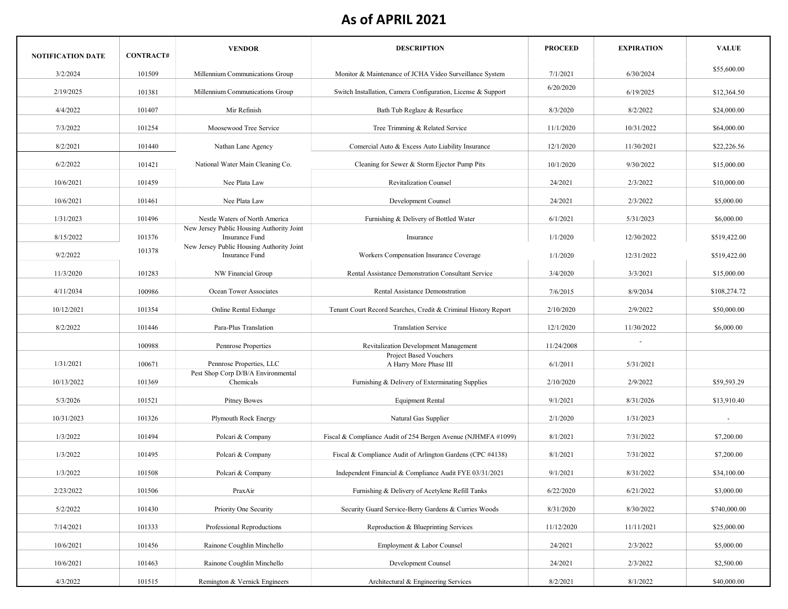| <b>NOTIFICATION DATE</b> | <b>CONTRACT#</b> | <b>VENDOR</b>                                               | <b>DESCRIPTION</b>                                             | <b>PROCEED</b> | <b>EXPIRATION</b> | <b>VALUE</b> |
|--------------------------|------------------|-------------------------------------------------------------|----------------------------------------------------------------|----------------|-------------------|--------------|
| 3/2/2024                 | 101509           | Millennium Communications Group                             | Monitor & Maintenance of JCHA Video Surveillance System        | 7/1/2021       | 6/30/2024         | \$55,600.00  |
| 2/19/2025                | 101381           | Millennium Communications Group                             | Switch Installation, Camera Configuration, License & Support   | 6/20/2020      | 6/19/2025         | \$12,364.50  |
| 4/4/2022                 | 101407           | Mir Refinish                                                | Bath Tub Reglaze & Resurface                                   | 8/3/2020       | 8/2/2022          | \$24,000.00  |
| 7/3/2022                 | 101254           | Moosewood Tree Service                                      | Tree Trimming & Related Service                                | 11/1/2020      | 10/31/2022        | \$64,000.00  |
| 8/2/2021                 | 101440           | Nathan Lane Agency                                          | Comercial Auto & Excess Auto Liability Insurance               | 12/1/2020      | 11/30/2021        | \$22,226.56  |
| 6/2/2022                 | 101421           | National Water Main Cleaning Co.                            | Cleaning for Sewer & Storm Ejector Pump Pits                   | 10/1/2020      | 9/30/2022         | \$15,000.00  |
| 10/6/2021                | 101459           | Nee Plata Law                                               | <b>Revitalization Counsel</b>                                  | 24/2021        | 2/3/2022          | \$10,000.00  |
| 10/6/2021                | 101461           | Nee Plata Law                                               | Development Counsel                                            | 24/2021        | 2/3/2022          | \$5,000.00   |
| 1/31/2023                | 101496           | Nestle Waters of North America                              | Furnishing & Delivery of Bottled Water                         | 6/1/2021       | 5/31/2023         | \$6,000.00   |
| 8/15/2022                | 101376           | New Jersey Public Housing Authority Joint                   | Insurance                                                      | 1/1/2020       |                   |              |
|                          | 101378           | Insurance Fund<br>New Jersey Public Housing Authority Joint |                                                                |                | 12/30/2022        | \$519,422.00 |
| 9/2/2022                 |                  | <b>Insurance Fund</b>                                       | Workers Compensation Insurance Coverage                        | 1/1/2020       | 12/31/2022        | \$519,422.00 |
| 11/3/2020                | 101283           | NW Financial Group                                          | Rental Assistance Demonstration Consultant Service             | 3/4/2020       | 3/3/2021          | \$15,000.00  |
| 4/11/2034                | 100986           | Ocean Tower Associates                                      | Rental Assistance Demonstration                                | 7/6/2015       | 8/9/2034          | \$108,274.72 |
| 10/12/2021               | 101354           | Online Rental Exhange                                       | Tenant Court Record Searches, Credit & Criminal History Report | 2/10/2020      | 2/9/2022          | \$50,000.00  |
| 8/2/2022                 | 101446           | Para-Plus Translation                                       | <b>Translation Service</b>                                     | 12/1/2020      | 11/30/2022        | \$6,000.00   |
|                          | 100988           | Pennrose Properties                                         | Revitalization Development Management                          | 11/24/2008     |                   |              |
| 1/31/2021                | 100671           | Pennrose Properties, LLC                                    | <b>Project Based Vouchers</b><br>A Harry More Phase III        | 6/1/2011       | 5/31/2021         |              |
| 10/13/2022               | 101369           | Pest Shop Corp D/B/A Environmental<br>Chemicals             | Furnishing & Delivery of Exterminating Supplies                | 2/10/2020      | 2/9/2022          | \$59,593.29  |
| 5/3/2026                 | 101521           | <b>Pitney Bowes</b>                                         | <b>Equipment Rental</b>                                        | 9/1/2021       | 8/31/2026         | \$13,910.40  |
| 10/31/2023               | 101326           | Plymouth Rock Energy                                        | Natural Gas Supplier                                           | 2/1/2020       | 1/31/2023         |              |
| 1/3/2022                 | 101494           | Polcari & Company                                           | Fiscal & Compliance Audit of 254 Bergen Avenue (NJHMFA #1099)  | 8/1/2021       | 7/31/2022         | \$7,200.00   |
| 1/3/2022                 | 101495           | Polcari & Company                                           | Fiscal & Compliance Audit of Arlington Gardens (CPC #4138)     | 8/1/2021       | 7/31/2022         | \$7,200.00   |
| 1/3/2022                 | 101508           | Polcari & Company                                           | Independent Financial & Compliance Audit FYE 03/31/2021        | 9/1/2021       | 8/31/2022         | \$34,100.00  |
| 2/23/2022                | 101506           | PraxAir                                                     | Furnishing & Delivery of Acetylene Refill Tanks                | 6/22/2020      | 6/21/2022         | \$3,000.00   |
| 5/2/2022                 | 101430           | Priority One Security                                       | Security Guard Service-Berry Gardens & Curries Woods           | 8/31/2020      | 8/30/2022         | \$740,000.00 |
| 7/14/2021                | 101333           | Professional Reproductions                                  | Reproduction & Blueprinting Services                           | 11/12/2020     | 11/11/2021        | \$25,000.00  |
| 10/6/2021                | 101456           | Rainone Coughlin Minchello                                  | Employment & Labor Counsel                                     | 24/2021        | 2/3/2022          | \$5,000.00   |
| 10/6/2021                | 101463           | Rainone Coughlin Minchello                                  | Development Counsel                                            | 24/2021        | 2/3/2022          | \$2,500.00   |
| 4/3/2022                 | 101515           | Remington & Vernick Engineers                               | Architectural & Engineering Services                           | 8/2/2021       | 8/1/2022          | \$40,000.00  |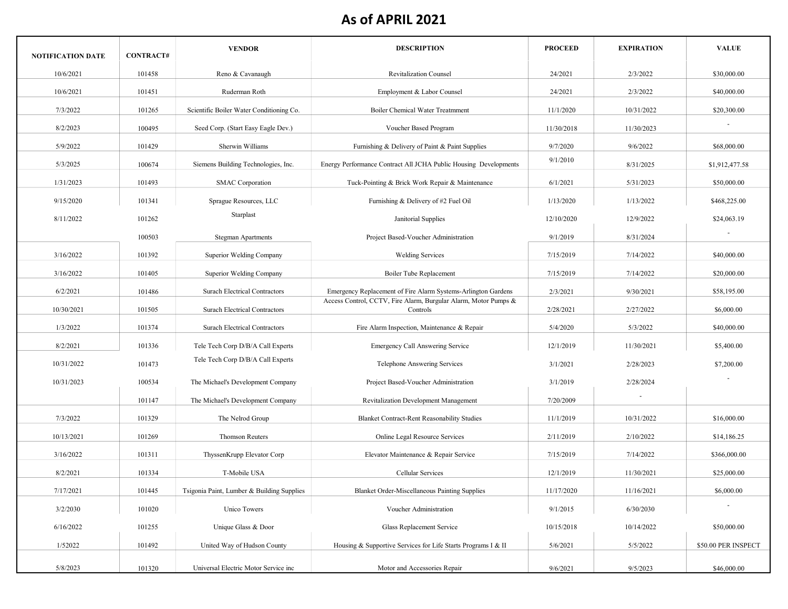| <b>NOTIFICATION DATE</b> | <b>CONTRACT#</b> | <b>VENDOR</b>                              | <b>DESCRIPTION</b>                                                          | <b>PROCEED</b> | <b>EXPIRATION</b> | <b>VALUE</b>        |
|--------------------------|------------------|--------------------------------------------|-----------------------------------------------------------------------------|----------------|-------------------|---------------------|
| 10/6/2021                | 101458           | Reno & Cavanaugh                           | <b>Revitalization Counsel</b>                                               | 24/2021        | 2/3/2022          | \$30,000.00         |
| 10/6/2021                | 101451           | Ruderman Roth                              | Employment & Labor Counsel                                                  | 24/2021        | 2/3/2022          | \$40,000.00         |
| 7/3/2022                 | 101265           | Scientific Boiler Water Conditioning Co.   | <b>Boiler Chemical Water Treatmment</b>                                     | 11/1/2020      | 10/31/2022        | \$20,300.00         |
| 8/2/2023                 | 100495           | Seed Corp. (Start Easy Eagle Dev.)         | Voucher Based Program                                                       | 11/30/2018     | 11/30/2023        |                     |
| 5/9/2022                 | 101429           | Sherwin Williams                           | Furnishing & Delivery of Paint & Paint Supplies                             | 9/7/2020       | 9/6/2022          | \$68,000.00         |
| 5/3/2025                 | 100674           | Siemens Building Technologies, Inc.        | Energy Performance Contract All JCHA Public Housing Developments            | 9/1/2010       | 8/31/2025         | \$1,912,477.58      |
| 1/31/2023                | 101493           | <b>SMAC</b> Corporation                    | Tuck-Pointing & Brick Work Repair & Maintenance                             | 6/1/2021       | 5/31/2023         | \$50,000.00         |
| 9/15/2020                | 101341           | Sprague Resources, LLC                     | Furnishing & Delivery of #2 Fuel Oil                                        | 1/13/2020      | 1/13/2022         | \$468,225.00        |
| 8/11/2022                | 101262           | Starplast                                  | Janitorial Supplies                                                         | 12/10/2020     | 12/9/2022         | \$24,063.19         |
|                          | 100503           | <b>Stegman Apartments</b>                  | Project Based-Voucher Administration                                        | 9/1/2019       | 8/31/2024         |                     |
| 3/16/2022                | 101392           | Superior Welding Company                   | <b>Welding Services</b>                                                     | 7/15/2019      | 7/14/2022         | \$40,000.00         |
| 3/16/2022                | 101405           | Superior Welding Company                   | Boiler Tube Replacement                                                     | 7/15/2019      | 7/14/2022         | \$20,000.00         |
| 6/2/2021                 | 101486           | <b>Surach Electrical Contractors</b>       | Emergency Replacement of Fire Alarm Systems-Arlington Gardens               | 2/3/2021       | 9/30/2021         | \$58,195.00         |
| 10/30/2021               | 101505           | <b>Surach Electrical Contractors</b>       | Access Control, CCTV, Fire Alarm, Burgular Alarm, Motor Pumps &<br>Controls | 2/28/2021      | 2/27/2022         | \$6,000.00          |
| 1/3/2022                 | 101374           | <b>Surach Electrical Contractors</b>       | Fire Alarm Inspection, Maintenance & Repair                                 | 5/4/2020       | 5/3/2022          | \$40,000.00         |
| 8/2/2021                 | 101336           | Tele Tech Corp D/B/A Call Experts          | Emergency Call Answering Service                                            | 12/1/2019      | 11/30/2021        | \$5,400.00          |
| 10/31/2022               | 101473           | Tele Tech Corp D/B/A Call Experts          | Telephone Answering Services                                                | 3/1/2021       | 2/28/2023         | \$7,200.00          |
| 10/31/2023               | 100534           | The Michael's Development Company          | Project Based-Voucher Administration                                        | 3/1/2019       | 2/28/2024         |                     |
|                          |                  |                                            |                                                                             |                |                   |                     |
|                          | 101147           | The Michael's Development Company          | Revitalization Development Management                                       | 7/20/2009      |                   |                     |
| 7/3/2022                 | 101329           | The Nelrod Group                           | <b>Blanket Contract-Rent Reasonability Studies</b>                          | 11/1/2019      | 10/31/2022        | \$16,000.00         |
| 10/13/2021               | 101269           | <b>Thomson Reuters</b>                     | Online Legal Resource Services                                              | 2/11/2019      | 2/10/2022         | \$14,186.25         |
| 3/16/2022                | 101311           | ThyssenKrupp Elevator Corp                 | Elevator Maintenance & Repair Service                                       | 7/15/2019      | 7/14/2022         | \$366,000.00        |
| 8/2/2021                 | 101334           | T-Mobile USA                               | Cellular Services                                                           | 12/1/2019      | 11/30/2021        | \$25,000.00         |
| 7/17/2021                | 101445           | Tsigonia Paint, Lumber & Building Supplies | Blanket Order-Miscellaneous Painting Supplies                               | 11/17/2020     | 11/16/2021        | \$6,000.00          |
| 3/2/2030                 | 101020           | Unico Towers                               | Voucher Administration                                                      | 9/1/2015       | 6/30/2030         |                     |
| 6/16/2022                | 101255           | Unique Glass & Door                        | Glass Replacement Service                                                   | 10/15/2018     | 10/14/2022        | \$50,000.00         |
| 1/52022                  | 101492           | United Way of Hudson County                | Housing & Supportive Services for Life Starts Programs I & II               | 5/6/2021       | 5/5/2022          | \$50.00 PER INSPECT |
| 5/8/2023                 | 101320           | Universal Electric Motor Service inc       | Motor and Accessories Repair                                                | 9/6/2021       | 9/5/2023          | \$46,000.00         |